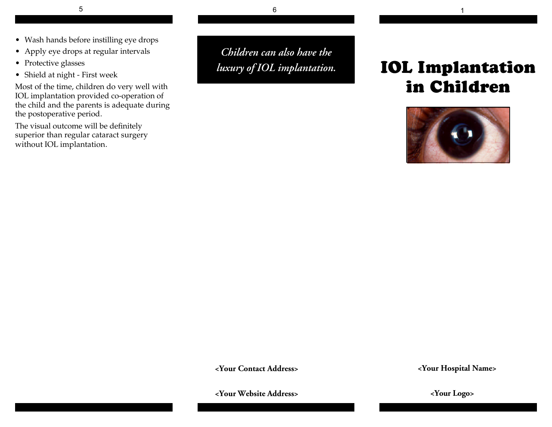- Wash hands before instilling eye drops
- Apply eye drops at regular intervals
- Protective glasses
- Shield at night First week

Most of the time, children do very well with IOL implantation provided co-operation of the child and the parents is adequate during the postoperative period.

The visual outcome will be definitely superior than regular cataract surgery without IOL implantation.

*Children can also have the luxury of IOL implantation.*

# **IOL I in Children**



**<Your Contact Address>**

**<Your Website Address>**